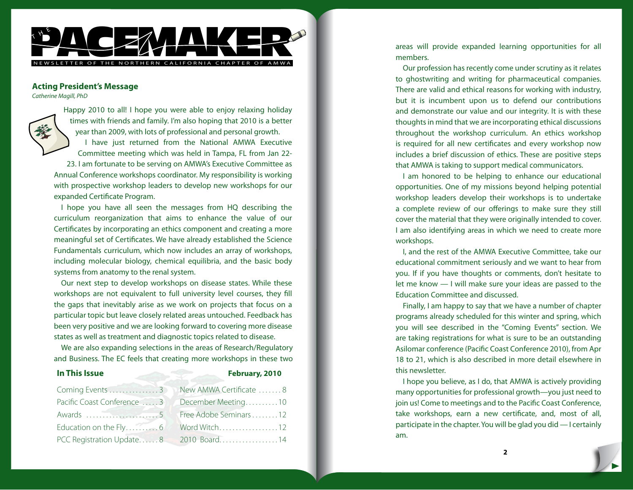

# **Acting President's Message**

*Catherine Magill, PhD*

Happy 2010 to all! I hope you were able to enjoy relaxing holiday times with friends and family. I'm also hoping that 2010 is a better year than 2009, with lots of professional and personal growth. I have just returned from the National AMWA Executive Committee meeting which was held in Tampa, FL from Jan 22- 23. I am fortunate to be serving on AMWA's Executive Committee as Annual Conference workshops coordinator. My responsibility is working with prospective workshop leaders to develop new workshops for our expanded Certificate Program.

I hope you have all seen the messages from HQ describing the curriculum reorganization that aims to enhance the value of our Certificates by incorporating an ethics component and creating a more meaningful set of Certificates. We have already established the Science Fundamentals curriculum, which now includes an array of workshops, including molecular biology, chemical equilibria, and the basic body systems from anatomy to the renal system.

Our next step to develop workshops on disease states. While these workshops are not equivalent to full university level courses, they fill the gaps that inevitably arise as we work on projects that focus on a particular topic but leave closely related areas untouched. Feedback has been very positive and we are looking forward to covering more disease states as well as treatment and diagnostic topics related to disease.

We are also expanding selections in the areas of Research/Regulatory and Business. The EC feels that creating more workshops in these two

#### **In This Issue February, 2010**

| Coming Events 3 New AMWA Certificate 8 |                                       |
|----------------------------------------|---------------------------------------|
| Pacific Coast Conference  3            | December Meeting10                    |
|                                        | Free Adobe Seminars 12                |
|                                        | Word Witch12                          |
|                                        | PCC Registration Update8 2010 Board14 |

areas will provide expanded learning opportunities for all members.

Our profession has recently come under scrutiny as it relates to ghostwriting and writing for pharmaceutical companies. There are valid and ethical reasons for working with industry, but it is incumbent upon us to defend our contributions and demonstrate our value and our integrity. It is with these thoughts in mind that we are incorporating ethical discussions throughout the workshop curriculum. An ethics workshop is required for all new certificates and every workshop now includes a brief discussion of ethics. These are positive steps that AMWA is taking to support medical communicators.

I am honored to be helping to enhance our educational opportunities. One of my missions beyond helping potential workshop leaders develop their workshops is to undertake a complete review of our offerings to make sure they still cover the material that they were originally intended to cover. I am also identifying areas in which we need to create more workshops.

I, and the rest of the AMWA Executive Committee, take our educational commitment seriously and we want to hear from you. If if you have thoughts or comments, don't hesitate to let me know — I will make sure your ideas are passed to the Education Committee and discussed.

Finally, I am happy to say that we have a number of chapter programs already scheduled for this winter and spring, which you will see described in the "Coming Events" section. We are taking registrations for what is sure to be an outstanding Asilomar conference (Pacific Coast Conference 2010), from Apr 18 to 21, which is also described in more detail elsewhere in this newsletter.

I hope you believe, as I do, that AMWA is actively providing many opportunities for professional growth—you just need to join us! Come to meetings and to the Pacific Coast Conference, take workshops, earn a new certificate, and, most of all, participate in the chapter. You will be glad you did — I certainly am.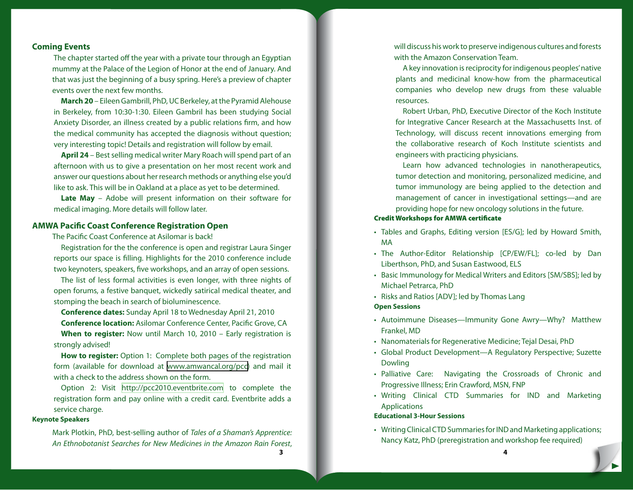# **Coming Events**

 The chapter started off the year with a private tour through an Egyptian mummy at the Palace of the Legion of Honor at the end of January. And that was just the beginning of a busy spring. Here's a preview of chapter events over the next few months.

**March 20** – Eileen Gambrill, PhD, UC Berkeley, at the Pyramid Alehouse in Berkeley, from 10:30-1:30. Eileen Gambril has been studying Social Anxiety Disorder, an illness created by a public relations firm, and how the medical community has accepted the diagnosis without question; very interesting topic! Details and registration will follow by email.

**April 24** – Best selling medical writer Mary Roach will spend part of an afternoon with us to give a presentation on her most recent work and answer our questions about her research methods or anything else you'd like to ask. This will be in Oakland at a place as yet to be determined.

**Late May** – Adobe will present information on their software for medical imaging. More details will follow later.

# **AMWA Pacific Coast Conference Registration Open**

The Pacific Coast Conference at Asilomar is back!

Registration for the the conference is open and registrar Laura Singer reports our space is filling. Highlights for the 2010 conference include two keynoters, speakers, five workshops, and an array of open sessions.

The list of less formal activities is even longer, with three nights of open forums, a festive banquet, wickedly satirical medical theater, and stomping the beach in search of bioluminescence.

**Conference dates:** Sunday April 18 to Wednesday April 21, 2010 **Conference location:** Asilomar Conference Center, Pacific Grove, CA

**When to register:** Now until March 10, 2010 – Early registration is strongly advised!

**How to register:** Option 1: Complete both pages of the registration form (available for download at [www.amwancal.org/pcc\)](http://www.amwancal.org/pcc) and mail it with a check to the address shown on the form.

Option 2: Visit <http://pcc2010.eventbrite.com>to complete the registration form and pay online with a credit card. Eventbrite adds a service charge.

#### **Keynote Speakers**

Mark Plotkin, PhD, best-selling author of *Tales of a Shaman's Apprentice: An Ethnobotanist Searches for New Medicines in the Amazon Rain Forest*, 3

will discuss his work to preserve indigenous cultures and forests with the Amazon Conservation Team.

A key innovation is reciprocity for indigenous peoples' native plants and medicinal know-how from the pharmaceutical companies who develop new drugs from these valuable resources.

Robert Urban, PhD, Executive Director of the Koch Institute for Integrative Cancer Research at the Massachusetts Inst. of Technology, will discuss recent innovations emerging from the collaborative research of Koch Institute scientists and engineers with practicing physicians.

Learn how advanced technologies in nanotherapeutics, tumor detection and monitoring, personalized medicine, and tumor immunology are being applied to the detection and management of cancer in investigational settings—and are providing hope for new oncology solutions in the future.

#### Credit Workshops for AMWA certificate

- Tables and Graphs, Editing version [ES/G]; led by Howard Smith, MA
- The Author-Editor Relationship [CP/EW/FL]; co-led by Dan Liberthson, PhD, and Susan Eastwood, ELS
- Basic Immunology for Medical Writers and Editors [SM/SBS]; led by Michael Petrarca, PhD
- Risks and Ratios [ADV]; led by Thomas Lang

### **Open Sessions**

- Autoimmune Diseases—Immunity Gone Awry—Why? Matthew Frankel, MD
- Nanomaterials for Regenerative Medicine; Tejal Desai, PhD •
- Global Product Development—A Regulatory Perspective; Suzette Dowling
- Palliative Care: Navigating the Crossroads of Chronic and Progressive Illness; Erin Crawford, MSN, FNP
- Writing Clinical CTD Summaries for IND and Marketing Applications

#### **Educational 3-Hour Sessions**

Writing Clinical CTD Summaries for IND and Marketing applications; •Nancy Katz, PhD (preregistration and workshop fee required)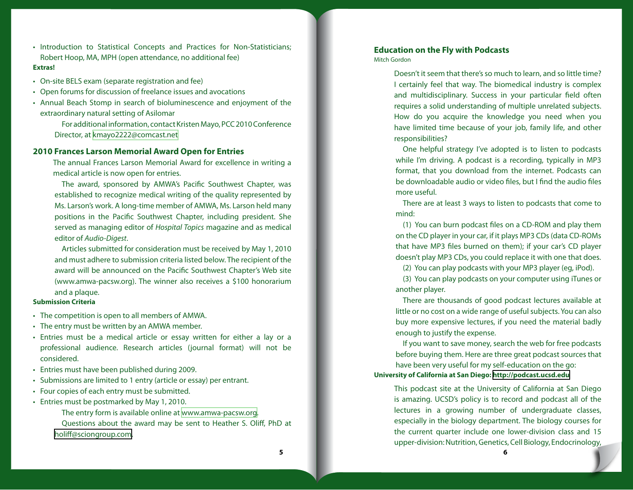- Introduction to Statistical Concepts and Practices for Non-Statisticians; Robert Hoop, MA, MPH (open attendance, no additional fee) **Extras!**
- On-site BELS exam (separate registration and fee) •
- Open forums for discussion of freelance issues and avocations
- Annual Beach Stomp in search of bioluminescence and enjoyment of the extraordinary natural setting of Asilomar

For additional information, contact Kristen Mayo, PCC 2010 Conference Director, at [kmayo2222@comcast.net](mailto:kmayo2222@comcast.net)

# **2010 Frances Larson Memorial Award Open for Entries**

The annual Frances Larson Memorial Award for excellence in writing a medical article is now open for entries.

The award, sponsored by AMWA's Pacific Southwest Chapter, was established to recognize medical writing of the quality represented by Ms. Larson's work. A long-time member of AMWA, Ms. Larson held many positions in the Pacific Southwest Chapter, including president. She served as managing editor of *Hospital Topics* magazine and as medical editor of *Audio-Digest*.

Articles submitted for consideration must be received by May 1, 2010 and must adhere to submission criteria listed below. The recipient of the award will be announced on the Pacific Southwest Chapter's Web site (www.amwa-pacsw.org). The winner also receives a \$100 honorarium and a plaque.

#### **Submission Criteria**

- The competition is open to all members of AMWA. •
- The entry must be written by an AMWA member. •
- Entries must be a medical article or essay written for either a lay or a professional audience. Research articles (journal format) will not be considered.
- Entries must have been published during 2009. •
- Submissions are limited to 1 entry (article or essay) per entrant.
- Four copies of each entry must be submitted.
- Entries must be postmarked by May 1, 2010.
	- The entry form is available online at [www.amwa-pacsw.org.](http://www.amwa-pacsw.org) Questions about the award may be sent to Heather S. Oliff, PhD at [holiff@sciongroup.com.](mailto:holiff@sciongroup.com)

# **Education on the Fly with Podcasts**

Mitch Gordon

Doesn't it seem that there's so much to learn, and so little time? I certainly feel that way. The biomedical industry is complex and multidisciplinary. Success in your particular field often requires a solid understanding of multiple unrelated subjects. How do you acquire the knowledge you need when you have limited time because of your job, family life, and other responsibilities?

One helpful strategy I've adopted is to listen to podcasts while I'm driving. A podcast is a recording, typically in MP3 format, that you download from the internet. Podcasts can be downloadable audio or video files, but I find the audio files more useful.

There are at least 3 ways to listen to podcasts that come to mind:

(1) You can burn podcast files on a CD-ROM and play them on the CD player in your car, if it plays MP3 CDs (data CD-ROMs that have MP3 files burned on them); if your car's CD player doesn't play MP3 CDs, you could replace it with one that does.

(2) You can play podcasts with your MP3 player (eg, iPod).

(3) You can play podcasts on your computer using iTunes or another player.

There are thousands of good podcast lectures available at little or no cost on a wide range of useful subjects. You can also buy more expensive lectures, if you need the material badly enough to justify the expense.

If you want to save money, search the web for free podcasts before buying them. Here are three great podcast sources that have been very useful for my self-education on the go:

# **University of California at San Diego: <http://podcast.ucsd.edu>**

This podcast site at the University of California at San Diego is amazing. UCSD's policy is to record and podcast all of the lectures in a growing number of undergraduate classes, especially in the biology department. The biology courses for the current quarter include one lower-division class and 15 upper-division: Nutrition, Genetics, Cell Biology, Endocrinology,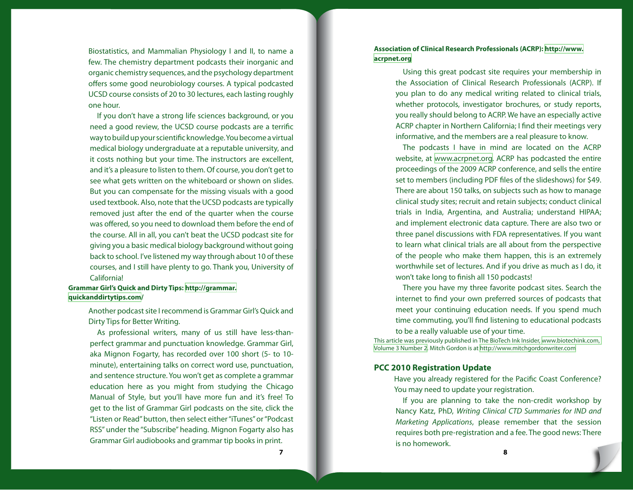Biostatistics, and Mammalian Physiology I and II, to name a few. The chemistry department podcasts their inorganic and organic chemistry sequences, and the psychology department offers some good neurobiology courses. A typical podcasted UCSD course consists of 20 to 30 lectures, each lasting roughly one hour.

If you don't have a strong life sciences background, or you need a good review, the UCSD course podcasts are a terrific way to build up your scientific knowledge. You become a virtual medical biology undergraduate at a reputable university, and it costs nothing but your time. The instructors are excellent, and it's a pleasure to listen to them. Of course, you don't get to see what gets written on the whiteboard or shown on slides. But you can compensate for the missing visuals with a good used textbook. Also, note that the UCSD podcasts are typically removed just after the end of the quarter when the course was offered, so you need to download them before the end of the course. All in all, you can't beat the UCSD podcast site for giving you a basic medical biology background without going back to school. I've listened my way through about 10 of these courses, and I still have plenty to go. Thank you, University of California!

#### **Grammar Girl's Quick and Dirty Tips: [http://grammar.](http://grammar.quickanddirtytips.com) [quickanddirtytips.com/](http://grammar.quickanddirtytips.com)**

Another podcast site I recommend is Grammar Girl's Quick and Dirty Tips for Better Writing.

As professional writers, many of us still have less-thanperfect grammar and punctuation knowledge. Grammar Girl, aka Mignon Fogarty, has recorded over 100 short (5- to 10 minute), entertaining talks on correct word use, punctuation, and sentence structure. You won't get as complete a grammar education here as you might from studying the Chicago Manual of Style, but you'll have more fun and it's free! To get to the list of Grammar Girl podcasts on the site, click the "Listen or Read" button, then select either "iTunes" or "Podcast RSS" under the "Subscribe" heading. Mignon Fogarty also has Grammar Girl audiobooks and grammar tip books in print.

# **Association of Clinical Research Professionals (ACRP): [http://www.](http://www.acrpnet.org) [acrpnet.org](http://www.acrpnet.org)**

Using this great podcast site requires your membership in the Association of Clinical Research Professionals (ACRP). If you plan to do any medical writing related to clinical trials, whether protocols, investigator brochures, or study reports, you really should belong to ACRP. We have an especially active ACRP chapter in Northern California; I find their meetings very informative, and the members are a real pleasure to know.

The podcasts I have in mind are located on the ACRP website, at <www.acrpnet.org>. ACRP has podcasted the entire proceedings of the 2009 ACRP conference, and sells the entire set to members (including PDF files of the slideshows) for \$49. There are about 150 talks, on subjects such as how to manage clinical study sites; recruit and retain subjects; conduct clinical trials in India, Argentina, and Australia; understand HIPAA; and implement electronic data capture. There are also two or three panel discussions with FDA representatives. If you want to learn what clinical trials are all about from the perspective of the people who make them happen, this is an extremely worthwhile set of lectures. And if you drive as much as I do, it won't take long to finish all 150 podcasts!

There you have my three favorite podcast sites. Search the internet to find your own preferred sources of podcasts that meet your continuing education needs. If you spend much time commuting, you'll find listening to educational podcasts to be a really valuable use of your time.

This article was previously published in The BioTech Ink Insider, [www.biotechink.com,](http://bit.ly/31Lsjw)  [Volume 3 Number 2](http://bit.ly/31Lsjw). Mitch Gordon is at <http://www.mitchgordonwriter.com>

# **PCC 2010 Registration Update**

Have you already registered for the Pacific Coast Conference? You may need to update your registration.

If you are planning to take the non-credit workshop by Nancy Katz, PhD, *Writing Clinical CTD Summaries for IND and Marketing Applications*, please remember that the session requires both pre-registration and a fee. The good news: There is no homework.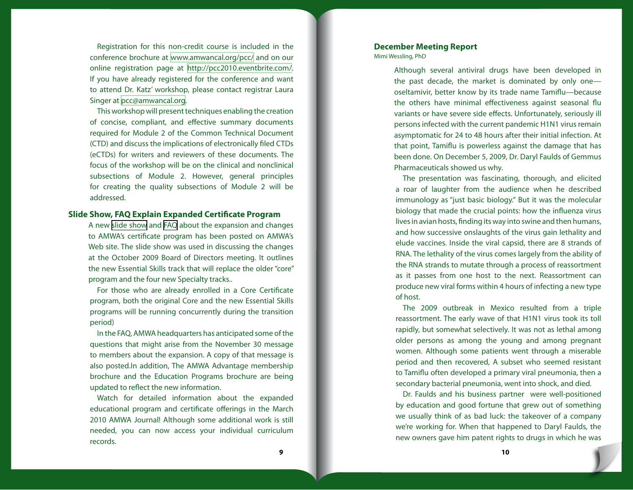Registration for this non-credit course is included in the conference brochure at <www.amwancal.org/pcc/>and on our online registration page at [http://pcc2010.eventbrite.com/](http://pcc2010.eventbrite.com). If you have already registered for the conference and want to attend Dr. Katz' workshop, please contact registrar Laura Singer at [pcc@amwancal.org.](mailto:pcc@amwancal.org)

This workshop will present techniques enabling the creation of concise, compliant, and effective summary documents required for Module 2 of the Common Technical Document (CTD) and discuss the implications of electronically filed CTDs (eCTDs) for writers and reviewers of these documents. The focus of the workshop will be on the clinical and nonclinical subsections of Module 2. However, general principles for creating the quality subsections of Module 2 will be addressed.

# **Slide Show, FAQ Explain Expanded Certificate Program**

A new [slide show](http://www.amwa.org/default.asp?id=483) and [FAQ](http://www.amwa.org/default.asp?id=480) about the expansion and changes to AMWA's certificate program has been posted on AMWA's Web site. The slide show was used in discussing the changes at the October 2009 Board of Directors meeting. It outlines the new Essential Skills track that will replace the older "core" program and the four new Specialty tracks..

For those who are already enrolled in a Core Certificate program, both the original Core and the new Essential Skills programs will be running concurrently during the transition period)

In the FAQ, AMWA headquarters has anticipated some of the questions that might arise from the November 30 message to members about the expansion. A copy of that message is also posted.In addition, The AMWA Advantage membership brochure and the Education Programs brochure are being updated to reflect the new information.

Watch for detailed information about the expanded educational program and certificate offerings in the March 2010 AMWA Journal! Although some additional work is still needed, you can now access your individual curriculum records.

# **December Meeting Report**

Mimi Wessling, PhD

Although several antiviral drugs have been developed in the past decade, the market is dominated by only one oseltamivir, better know by its trade name Tamiflu—because the others have minimal effectiveness against seasonal flu variants or have severe side effects. Unfortunately, seriously ill persons infected with the current pandemic H1N1 virus remain asymptomatic for 24 to 48 hours after their initial infection. At that point, Tamiflu is powerless against the damage that has been done. On December 5, 2009, Dr. Daryl Faulds of Gemmus Pharmaceuticals showed us why.

The presentation was fascinating, thorough, and elicited a roar of laughter from the audience when he described immunology as "just basic biology." But it was the molecular biology that made the crucial points: how the influenza virus lives in avian hosts, finding its way into swine and then humans, and how successive onslaughts of the virus gain lethality and elude vaccines. Inside the viral capsid, there are 8 strands of RNA. The lethality of the virus comes largely from the ability of the RNA strands to mutate through a process of reassortment as it passes from one host to the next. Reassortment can produce new viral forms within 4 hours of infecting a new type of host.

The 2009 outbreak in Mexico resulted from a triple reassortment. The early wave of that H1N1 virus took its toll rapidly, but somewhat selectively. It was not as lethal among older persons as among the young and among pregnant women. Although some patients went through a miserable period and then recovered, A subset who seemed resistant to Tamiflu often developed a primary viral pneumonia, then a secondary bacterial pneumonia, went into shock, and died.

Dr. Faulds and his business partner were well-positioned by education and good fortune that grew out of something we usually think of as bad luck: the takeover of a company we're working for. When that happened to Daryl Faulds, the new owners gave him patent rights to drugs in which he was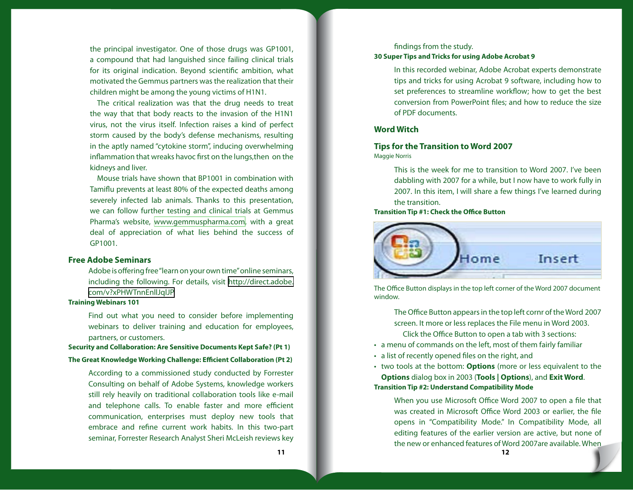the principal investigator. One of those drugs was GP1001, a compound that had languished since failing clinical trials for its original indication. Beyond scientific ambition, what motivated the Gemmus partners was the realization that their children might be among the young victims of H1N1.

The critical realization was that the drug needs to treat the way that that body reacts to the invasion of the H1N1 virus, not the virus itself. Infection raises a kind of perfect storm caused by the body's defense mechanisms, resulting in the aptly named "cytokine storm", inducing overwhelming inflammation that wreaks havoc first on the lungs,then on the kidneys and liver.

Mouse trials have shown that BP1001 in combination with Tamiflu prevents at least 80% of the expected deaths among severely infected lab animals. Thanks to this presentation, we can follow further testing and clinical trials at Gemmus Pharma's website, [www.gemmuspharma.com,](www.gemmuspharma.com) with a great deal of appreciation of what lies behind the success of GP1001.

# **Free Adobe Seminars**

Adobe is offering free "learn on your own time" online seminars, including the following. For details, visit [http://direct.adobe.](http://direct.adobe.com/v?xPHWTnnEnllJqlJP) [com/v?xPHWTnnEnllJqlJP](http://direct.adobe.com/v?xPHWTnnEnllJqlJP)

#### **Training Webinars 101**

Find out what you need to consider before implementing webinars to deliver training and education for employees, partners, or customers.

#### **Security and Collaboration: Are Sensitive Documents Kept Safe? (Pt 1)**

#### **The Great Knowledge Working Challenge: Efficient Collaboration (Pt 2)**

According to a commissioned study conducted by Forrester Consulting on behalf of Adobe Systems, knowledge workers still rely heavily on traditional collaboration tools like e-mail and telephone calls. To enable faster and more efficient communication, enterprises must deploy new tools that embrace and refine current work habits. In this two-part seminar, Forrester Research Analyst Sheri McLeish reviews key

# findings from the study. **30 Super Tips and Tricks for using Adobe Acrobat 9**

In this recorded webinar, Adobe Acrobat experts demonstrate tips and tricks for using Acrobat 9 software, including how to set preferences to streamline workflow; how to get the best conversion from PowerPoint files; and how to reduce the size of PDF documents.

# **Word Witch**

# **Tips for the Transition to Word 2007**

Maggie Norris

This is the week for me to transition to Word 2007. I've been dabbling with 2007 for a while, but I now have to work fully in 2007. In this item, I will share a few things I've learned during the transition.

**Transition Tip #1: Check the Office Button**



The Office Button displays in the top left corner of the Word 2007 document window.

The Office Button appears in the top left cornr of the Word 2007 screen. It more or less replaces the File menu in Word 2003. Click the Office Button to open a tab with 3 sections:

- a menu of commands on the left, most of them fairly familiar
- a list of recently opened files on the right, and
- two tools at the bottom: **Options** (more or less equivalent to the **Options** dialog box in 2003 (**Tools | Options**), and **Exit Word**. **Transition Tip #2: Understand Compatibility Mode**

When you use Microsoft Office Word 2007 to open a file that was created in Microsoft Office Word 2003 or earlier, the file opens in "Compatibility Mode." In Compatibility Mode, all editing features of the earlier version are active, but none of the new or enhanced features of Word 2007are available. When